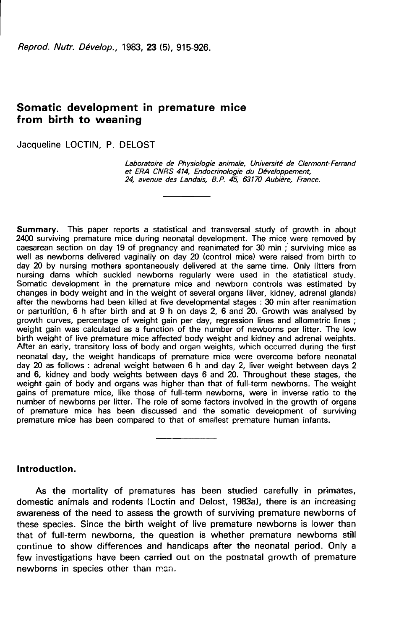Reprod. Nutr. Dévelop., 1983. 23 (5). 915-926.

# Somatic development in premature mice from birth to weaning

Jacqueline LOCTIN, P. DELOST

Laboratoire de Physiologie animale, Université de Clermont-Ferrand et ERA CNRS 414, Endocrinologie du Développement, 24, avenue des Landais, B.P. 45, 63170 Aubière, France.

Summary. This paper reports a statistical and transversal study of growth in about 2400 surviving premature mice during neonatal development. The mice were removed by caesarean section on day 19 of pregnancy and reanimated for 30 min ; surviving mice as well as newborns delivered vaginally on day 20 (control mice) were raised from birth to day 20 by nursing mothers spontaneously delivered at the same time. Only litters from nursing dams which suckled newborns regularly were used in the statistical study. Somatic development in the premature mice and newborn controls was estimated by changes in body weight and in the weight of several organs (liver, kidney, adrenal glands) after the newborns had been killed at five developmental stages : 30 min after reanimation or parturition, 6 h after birth and at 9 h on days 2, 6 and 20. Growth was analysed by growth curves, percentage of weight gain per day, regression lines and allometric lines; weight gain was calculated as a function of the number of newborns per litter. The low birth weight of live premature mice affected body weight and kidney and adrenal weights. After an early, transitory loss of body and organ weights, which occurred during the first neonatal day, the weight handicaps of premature mice were overcome before neonatal day 20 as follows : adrenal weight between 6 h and day 2, liver weight between days 2 and 6, kidney and body weights between days 6 and 20. Throughout these stages, the weight gain of body and organs was higher than that of full-term newborns. The weight gains of premature mice, like those of full-term newborns, were in inverse ratio to the number of newborns per litter. The role of some factors involved in the growth of organs of premature mice has been discussed and the somatic development of surviving premature mice has been compared to that of smallest premature human infants.

# Introduction.

As the mortality of prematures has been studied carefully in primates, domestic animals and rodents (Loctin and Delost, 1983a), there is an increasing awareness of the need to assess the growth of surviving premature newborns of these species. Since the birth weight of live premature newborns is lower than that of full-term newborns, the question is whether premature newborns still continue to show differences and handicaps after the neonatal period. Only a few investigations have been carried out on the postnatal growth of premature newborns in species other than man.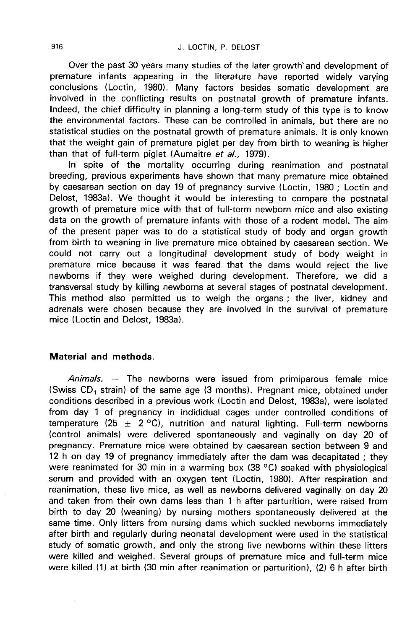Over the past 30 years many studies of the later growth'and development of premature infants appearing in the literature have reported widely varying conclusions (Loctin, 1980). Many factors besides somatic development are involved in the conflicting results on postnatal growth of premature infants. Indeed, the chief difficulty in planning a long-term study of this type is to know the environmental factors. These can be controlled in animals, but there are no statistical studies on the postnatal growth of premature animals. It is only known that the weight gain of premature piglet per day from birth to weaning is higher than that of full-term piglet (Aumaitre et al., 1979).

In spite of the mortality occurring during reanimation and postnatal breeding, previous experiments have shown that many premature mice obtained by caesarean section on day 19 of pregnancy survive (Loctin, 1980 ; Loctin and Delost, 1983a). We thought it would be interesting to compare the postnatal growth of premature mice with that of full-term newborn mice and also existing data on the growth of premature infants with those of a rodent model. The aim of the present paper was to do a statistical study of body and organ growth from birth to weaning in live premature mice obtained by caesarean section. We could not carry out a longitudinal development study of body weight in premature mice because it was feared that the dams would reject the live newborns if they were weighed during development. Therefore, we did a transversal study by killing newborns at several stages of postnatal development. This method also permitted us to weigh the organs ; the liver, kidney and adrenals were chosen because they are involved in the survival of premature mice (Loctin and Delost, 1983a).

# Material and methods.

Animals. — The newborns were issued from primiparous female mice (Swiss CD, strain) of the same age (3 months). Pregnant mice, obtained under conditions described in a previous work (Loctin and Delost, 1983a), were isolated from day 1 of pregnancy in indididual cages under controlled conditions of temperature (25  $\pm$  2 °C), nutrition and natural lighting. Full-term newborns (control animals) were delivered spontaneously and vaginally on day 20 of pregnancy. Premature mice were obtained by caesarean section between 9 and 12 h on day 19 of pregnancy immediately after the dam was decapitated ; they were reanimated for 30 min in a warming box (38 °C) soaked with physiological serum and provided with an oxygen tent (Loctin, 1980). After respiration and reanimation, these live mice, as well as newborns delivered vaginally on day 20 and taken from their own dams less than 1 h after parturition, were raised from birth to day 20 (weaning) by nursing mothers spontaneously delivered at the same time. Only litters from nursing dams which suckled newborns immediately after birth and regularly during neonatal development were used in the statistical study of somatic growth, and only the strong live newborns within these litters were killed and weighed. Several groups of premature mice and full-term mice were killed (1) at birth (30 min after reanimation or parturition), (2) 6 h after birth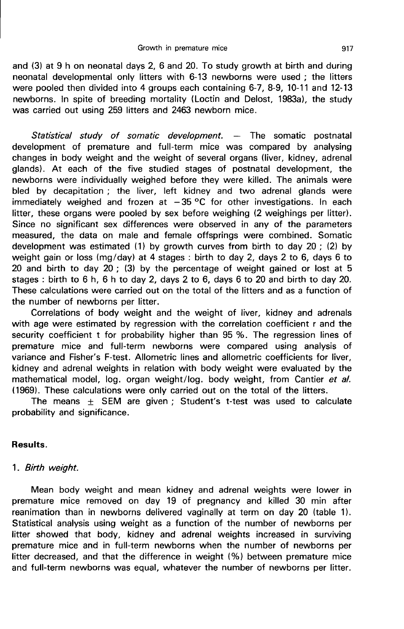and (3) at 9 h on neonatal days 2, 6 and 20. To study growth at birth and during neonatal developmental only litters with 6-13 newborns were used ; the litters were pooled then divided into 4 groups each containing 6-7, 8-9, 10-11 and 12-13 newborns. In spite of breeding mortality (Loctin and Delost, 1983a), the study was carried out using 259 litters and 2463 newborn mice.

Statistical study of somatic development.  $-$  The somatic postnatal development of premature and full-term mice was compared by analysing changes in body weight and the weight of several organs (liver, kidney, adrenal glands). At each of the five studied stages of postnatal development, the newborns were individually weighed before they were killed. The animals were bled by decapitation ; the liver, left kidney and two adrenal glands were immediately weighed and frozen at  $-35\,^{\circ}\text{C}$  for other investigations. In each litter, these organs were pooled by sex before weighing (2 weighings per litter). Since no significant sex differences were observed in any of the parameters measured, the data on male and female offsprings were combined. Somatic development was estimated (1) by growth curves from birth to day  $20$  ; (2) by weight gain or loss (mg/day) at 4 stages : birth to day 2, days 2 to 6, days 6 to 20 and birth to day 20 ; (3) by the percentage of weight gained or lost at 5 stages : birth to 6 h, 6 h to day 2, days 2 to 6, days 6 to 20 and birth to day 20. These calculations were carried out on the total of the litters and as a function of the number of newborns per litter.

Correlations of body weight and the weight of liver, kidney and adrenals with age were estimated by regression with the correlation coefficient r and the security coefficient t for probability higher than 95 %. The regression lines of premature mice and full-term newborns were compared using analysis of variance and Fisher's F-test. Allometric lines and allometric coefficients for liver, kidney and adrenal weights in relation with body weight were evaluated by the mathematical model, log. organ weight/log. body weight, from Cantier et al. 11969). These calculations were only carried out on the total of the litters.

The means  $\pm$  SEM are given ; Student's t-test was used to calculate probability and significance.

# Results.

# 1. Birth weight.

Mean body weight and mean kidney and adrenal weights were lower in premature mice removed on day 19 of pregnancy and killed 30 min after reanimation than in newborns delivered vaginally at term on day 20 (table 1). Statistical analysis using weight as a function of the number of newborns per litter showed that body, kidney and adrenal weights increased in surviving premature mice and in full-term newborns when the number of newborns per litter decreased, and that the difference in weight (%) between premature mice and full-term newborns was equal, whatever the number of newborns per litter.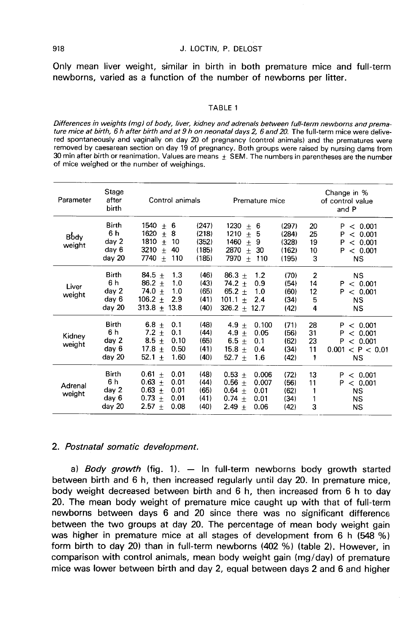Only mean liver weight, similar in birth in both premature mice and full-term newborns, varied as a function of the number of newborns per litter.

#### TABLE 1

Differences in weights (mg) of body, liver, kidney and adrenals between full-term newborns and premature mice at birth, 6 h after birth and at 9 h on neonatal days 2, 6 and 20. The full-term mice were delivered spontaneously and vaginally on day 20 of pregnancy (control animals) and the prematures were removed by caesarean section on day 19 of pregnancy. Both groups were raised by nursing dams from 30 min after birth or reanimation. Values are means  $\pm$  SEM. The numbers in parentheses are the number of mice weighed or the number of weighings.

| Parameter         | Stage<br>after<br>birth                         | Control animals                                                                                      |                                           | Premature mice                                                                                          |                                           | Change in %<br>of control value<br>and P |                                                                               |  |
|-------------------|-------------------------------------------------|------------------------------------------------------------------------------------------------------|-------------------------------------------|---------------------------------------------------------------------------------------------------------|-------------------------------------------|------------------------------------------|-------------------------------------------------------------------------------|--|
| Body<br>weight    | Birth<br>6 h<br>day 2<br>day 6<br>day 20        | 1540<br>± 6<br>1620<br>8<br>$+$<br>1810<br>10<br>$+$<br>3210<br>$+$<br>40<br>7740<br>$+$<br>110      | (247)<br>(218)<br>(352)<br>(185)<br>(185) | 1230<br>$\pm$<br>6<br>1210<br>$+$<br>5<br>1460<br>$+$<br>9<br>2870<br>$\pm$<br>30<br>7970<br>$+$<br>110 | (297)<br>(284)<br>(328)<br>(162)<br>(195) | 20<br>25<br>19<br>10<br>3                | P<br>< 0.001<br>< 0.001<br>Р<br>P<br>< 0.001<br>P<br>< 0.001<br><b>NS</b>     |  |
| Liver<br>weight   | <b>Birth</b><br>6 h<br>day 2<br>day 6<br>day 20 | 84.5 $\pm$<br>1,3<br>$86.2 +$<br>1.0<br>$74.0 +$<br>1.0<br>$106.2 +$<br>2.9<br>$313.8 + 13.8$        | (46)<br>(43)<br>(65)<br>(41)<br>(40)      | 86.3 $\pm$<br>1.2<br>$74.2 +$<br>0.9<br>$65.2 +$<br>1.0<br>$101.1 +$<br>2.4<br>$326.2 + 12.7$           | (70)<br>(54)<br>(60)<br>(34)<br>(42)      | $\overline{2}$<br>14<br>12<br>5<br>4     | <b>NS</b><br>< 0.001<br>P<br>P<br>< 0.001<br>ΝS<br>ΝS                         |  |
| Kidney<br>weight  | <b>Birth</b><br>6 h<br>day 2<br>day 6<br>day 20 | 6.8 $\pm$<br>0.1<br>$7.2 +$<br>0.1<br>$8.5 +$<br>0.10<br>$17.8 +$<br>0.50<br>52.1<br>1.60<br>$+$     | (48)<br>(44)<br>(65)<br>(41)<br>(40)      | 4.9 $+$<br>0.100<br>$4.9 +$<br>0.05<br>6.5 $\pm$<br>0.1<br>$15.8 +$<br>0.4<br>$52.7 +$<br>1.6           | (71)<br>(56)<br>(62)<br>(34)<br>(42)      | 28<br>31<br>23<br>11<br>1                | < 0.001<br>P<br>< 0.001<br>P<br>P<br>< 0.001<br>0.001 < P < 0.01<br><b>NS</b> |  |
| Adrenal<br>weight | <b>Birth</b><br>6 h<br>day 2<br>day 6<br>day 20 | $0.61 \pm$<br>0.01<br>$0.63 \pm$<br>0.01<br>$0.63 +$<br>0.01<br>$0.73 +$<br>0.01<br>$2.57 +$<br>0.08 | (48)<br>(44)<br>(65)<br>(41)<br>(40)      | $0.53 \pm$<br>0.006<br>$0.56 +$<br>0.007<br>$0.64 +$<br>0.01<br>$0.74 +$<br>0.01<br>$2.49 +$<br>0.06    | (72)<br>(56)<br>(62)<br>(34)<br>(42)      | 13<br>11<br>1<br>1<br>3                  | P<br>< 0.001<br>< 0.001<br>P.<br><b>NS</b><br><b>NS</b><br>NS.                |  |

### 2. Postnatal somatic development.

a) Body growth (fig. 1).  $-$  In full-term newborns body growth started between birth and 6 h, then increased regularly until day 20. In premature mice, body weight decreased between birth and 6 h, then increased from 6 h to day 20. The mean body weight of premature mice caught up with that of full-term newborns between days 6 and 20 since there was no significant difference between the two groups at day 20. The percentage of mean body weight gain was higher in premature mice at all stages of development from 6 h (548 %) form birth to day 20) than in full-term newborns (402 %) (table 2). However, in comparison with control animals, mean body weight gain (mg/day) of premature mice was lower between birth and day 2, equal between days 2 and 6 and higher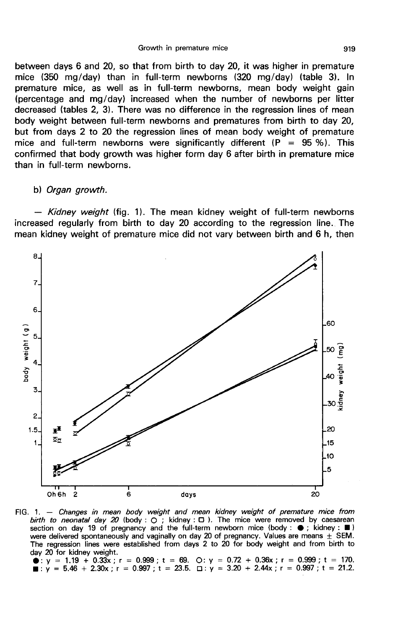between days 6 and 20, so that from birth to day 20, it was higher in premature mice (350 mg/day) than in full-term newborns (320 mg/day) (table 3). In premature mice, as well as in full-term newborns, mean body weight gain (percentage and mg/day) increased when the number of newborns per litter decreased (tables 2, 3). There was no difference in the regression lines of mean body weight between full-term newborns and prematures from birth to day 20, but from days 2 to 20 the regression lines of mean body weight of premature mice and full-term newborns were significantly different ( $P = 95\%$ ). This confirmed that body growth was higher form day 6 after birth in premature mice than in full-term newborns.

#### b) Organ growth.

- Kidney weight (fig. 1). The mean kidney weight of full-term newborns increased regularly from birth to day 20 according to the regression line. The mean kidney weight of premature mice did not vary between birth and 6 h, then



FIG. 1. - Changes in mean body weight and mean kidney weight of premature mice from birth to neonatal day 20 (body: O; kidney: D). The mice were removed by caesarean<br>section on day 19 of pregnancy and the full-term newborn mice (body:  $\bullet$ ; kidney:  $\blacksquare$ ) were delivered spontaneously and vaginally on day 20 of pregnancy. Values are means  $\pm$  SEM. The regression lines were established from days 2 to 20 for body weight and from birth to day 20 for kidney weight.

 $\bullet$ : y = 1.19 + 0.33x; r = 0.999; t = 69. O: y = 0.72 + 0.36x; r = 0.999; t = 170.  $\blacksquare$ : y = 5.46 + 2.30x ; r = 0.997 ; t = 23.5.  $\Box$ : y = 3.20 + 2.44x ; r = 0.997 ; t = 21.2.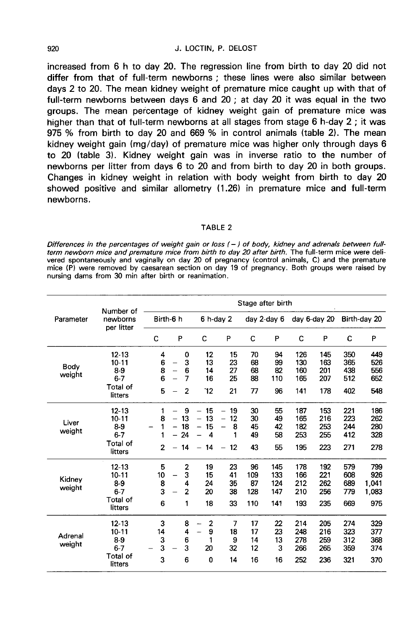#### J. LOCTIN. P. DELOST

increased from 6 h to day 20. The regression line from birth to day 20 did not differ from that of full-term newborns: these lines were also similar between days 2 to 20. The mean kidney weight of premature mice caught up with that of full-term newborns between days 6 and 20; at day 20 it was equal in the two groups. The mean percentage of kidney weight gain of premature mice was higher than that of full-term newborns at all stages from stage 6 h-day 2 : it was 975 % from birth to day 20 and 669 % in control animals (table 2). The mean kidney weight gain (mg/day) of premature mice was higher only through days 6 to 20 (table 3). Kidney weight gain was in inverse ratio to the number of newborns per litter from days 6 to 20 and from birth to day 20 in both groups. Changes in kidney weight in relation with body weight from birth to day 20 showed positive and similar allometry (1.26) in premature mice and full-term newhorns.

#### TABLE<sub>2</sub>

Differences in the percentages of weight gain or loss (-) of body, kidney and adrenals between fullterm newborn mice and premature mice from birth to day 20 after birth. The full-term mice were delivered spontaneously and vaginally on day 20 of pregnancy (control animals, C) and the premature mice (P) were removed by caesarean section on day 19 of pregnancy. Both groups were raised by nursing dams from 30 min after birth or reanimation.

| Parameter         | Number of<br>newborns<br>per litter                                      | Stage after birth             |                                                                            |                                                                                                 |                                                                                                                    |                               |                                 |                                 |                                 |                                 |                                     |
|-------------------|--------------------------------------------------------------------------|-------------------------------|----------------------------------------------------------------------------|-------------------------------------------------------------------------------------------------|--------------------------------------------------------------------------------------------------------------------|-------------------------------|---------------------------------|---------------------------------|---------------------------------|---------------------------------|-------------------------------------|
|                   |                                                                          | Birth-6 h                     |                                                                            |                                                                                                 | $6$ h-day $2$                                                                                                      |                               | day 2-day 6                     |                                 | day 6-day 20                    |                                 | Birth-day 20                        |
|                   |                                                                          | C                             | P                                                                          | с                                                                                               | P                                                                                                                  | C                             | P                               | с                               | P                               | c                               | P                                   |
| Body<br>weight    | $12 - 13$<br>$10 - 11$<br>$8-9$<br>$6 - 7$<br><b>Total of</b><br>litters | 4<br>6<br>8<br>6<br>5         | 0<br>3<br>6<br>7<br>$\overline{2}$                                         | 12<br>13<br>14<br>16<br>12                                                                      | 15<br>23<br>27<br>25<br>21                                                                                         | 70<br>68<br>68<br>88<br>77    | 94<br>99<br>82<br>110<br>96     | 126<br>130<br>160<br>165<br>141 | 145<br>163<br>201<br>207<br>178 | 350<br>365<br>438<br>512<br>402 | 449<br>526<br>556<br>652<br>548     |
| Liver<br>weight   | $12 - 13$<br>$10 - 11$<br>89<br>$6 - 7$<br>Total of<br>litters           | 1<br>8<br>1<br>$\overline{2}$ | 9<br>$\overline{\phantom{0}}$<br>13<br>18<br>24<br>14<br>$\qquad \qquad -$ | 15<br>$\overline{\phantom{0}}$<br>13<br>$\overline{\phantom{0}}$<br>15<br><b></b><br>4<br>$-14$ | 19<br>$\overline{\phantom{0}}$<br>12<br>$\overline{\phantom{m}}$<br>8<br>÷,<br>1<br>12<br>$\overline{\phantom{m}}$ | 30<br>30<br>45<br>49<br>43    | 55<br>49<br>42<br>58<br>55      | 187<br>165<br>182<br>253<br>195 | 153<br>216<br>253<br>255<br>223 | 221<br>223<br>244<br>412<br>271 | 186<br>262<br>280<br>328<br>278     |
| Kidnev<br>weight  | $12 - 13$<br>$10 - 11$<br>$8-9$<br>$6 - 7$<br>Total of<br>litters        | 5<br>10<br>8<br>3<br>6        | 2<br>3<br>4<br>$\overline{2}$<br>1                                         | 19<br>15<br>24<br>20<br>18                                                                      | 23<br>41<br>35<br>38<br>33                                                                                         | 96<br>109<br>87<br>128<br>110 | 145<br>133<br>124<br>147<br>141 | 178<br>166<br>212<br>210<br>193 | 192<br>221<br>262<br>256<br>235 | 579<br>608<br>689<br>779<br>669 | 799<br>926<br>1.041<br>1,083<br>975 |
| Adrenal<br>weight | $12 - 13$<br>$10 - 11$<br>8-9<br>$6 - 7$<br><b>Total of</b><br>litters   | 3<br>14<br>3<br>3<br>3        | 8<br>4<br>6<br>3<br>6                                                      | $\overline{2}$<br>9<br>$\overline{\phantom{0}}$<br>1<br>20<br>0                                 | $\overline{7}$<br>18<br>9<br>32<br>14                                                                              | 17<br>17<br>14<br>12<br>16    | 22<br>23<br>13<br>3<br>16       | 214<br>248<br>278<br>266<br>252 | 205<br>216<br>259<br>265<br>236 | 274<br>323<br>312<br>359<br>321 | 329<br>377<br>368<br>374<br>370     |

920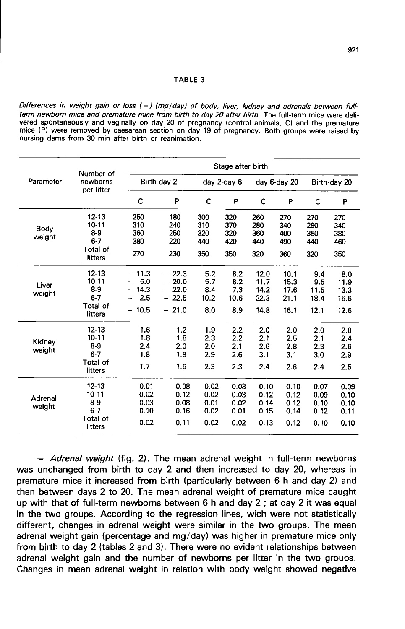#### TABLE 3

Differences in weight gain or loss (-) (mg/day) of body, liver, kidney and adrenals between fullterm newborn mice and premature mice from birth to day 20 after birth. The full-term mice were delivered spontaneously and vaginally on day 20 of pregnancy (control animals, C) and the premature mice (P) were removed by caesarean section on day 19 of pregnancy. Both groups were raised by nursing dams from 30 min after birth or reanimation.

|                   | Number of<br>newborns<br>per litter                               | Stage after birth                          |                                                     |                                      |                                      |                                      |                                      |                                      |                                      |  |
|-------------------|-------------------------------------------------------------------|--------------------------------------------|-----------------------------------------------------|--------------------------------------|--------------------------------------|--------------------------------------|--------------------------------------|--------------------------------------|--------------------------------------|--|
| Parameter         |                                                                   |                                            | Birth-day 2                                         | day 2-day 6                          |                                      | day 6-day 20                         |                                      | Birth-day 20                         |                                      |  |
|                   |                                                                   | C                                          | P                                                   | C                                    | P                                    | C                                    | P                                    | C                                    | P                                    |  |
| Body<br>weight    | $12 - 13$<br>$10 - 11$<br>$8-9$<br>$6 - 7$<br>Total of<br>litters | 250<br>310<br>360<br>380<br>270            | 180<br>240<br>250<br>220<br>230                     | 300<br>310<br>320<br>440<br>350      | 320<br>370<br>320<br>420<br>350      | 260<br>280<br>360<br>440<br>320      | 270<br>340<br>400<br>490<br>360      | 270<br>290<br>350<br>440<br>320      | 270<br>340<br>380<br>460<br>350      |  |
| Liver<br>weight   | $12 - 13$<br>$10 - 11$<br>$8-9$<br>$6 - 7$<br>Total of<br>litters | $-11.3$<br>5.0<br>14.3<br>2.5<br>10.5<br>- | $-22.3$<br>$-20.0$<br>$-22.0$<br>$-22.5$<br>$-21.0$ | 5.2<br>5.7<br>8.4<br>10.2<br>8.0     | 8.2<br>8.2<br>7.3<br>10.6<br>8.9     | 12.0<br>11.7<br>14.2<br>22.3<br>14.8 | 10.1<br>15.3<br>17.6<br>21.1<br>16.1 | 9.4<br>9.5<br>11.5<br>18.4<br>12.1   | 8.0<br>11.9<br>13.3<br>16.6<br>12.6  |  |
| Kidney<br>weight  | $12 - 13$<br>$10 - 11$<br>$8-9$<br>$6 - 7$<br>Total of<br>litters | 1.6<br>1.8<br>2.4<br>1.8<br>1.7            | 1.2<br>1.8<br>2.0<br>1.8<br>1.6                     | 1.9<br>2.3<br>2.0<br>2.9<br>2.3      | 2.2<br>2.2<br>2.1<br>2.6<br>2.3      | 2.0<br>2.1<br>2.6<br>3.1<br>2.4      | 2.0<br>2.5<br>2.8<br>3.1<br>2.6      | 2.0<br>2.1<br>2.3<br>3.0<br>2.4      | 2.0<br>2.4<br>2.6<br>2.9<br>2.5      |  |
| Adrenal<br>weight | $12 - 13$<br>$10 - 11$<br>8-9<br>$6 - 7$<br>Total of<br>litters   | 0.01<br>0.02<br>0.03<br>0.10<br>0.02       | 0.08<br>0.12<br>0.08<br>0.16<br>0.11                | 0.02<br>0.02<br>0.01<br>0.02<br>0.02 | 0.03<br>0.03<br>0.02<br>0.01<br>0.02 | 0.10<br>0.12<br>0.14<br>0.15<br>0.13 | 0.10<br>0.12<br>0.12<br>0.14<br>0.12 | 0.07<br>0.09<br>0.10<br>0.12<br>0.10 | 0.09<br>0.10<br>0.10<br>0.11<br>0.10 |  |

- Adrenal weight (fig. 2). The mean adrenal weight in full-term newborns was unchanged from birth to day 2 and then increased to day 20, whereas in premature mice it increased from birth (particularly between 6 h and day 2) and then between days 2 to 20. The mean adrenal weight of premature mice caught up with that of full-term newborns between 6 h and day 2 ; at day 2 it was equal in the two groups. According to the regression lines, wich were not statistically different, changes in adrenal weight were similar in the two groups. The mean adrenal weight gain (percentage and mg/day) was higher in premature mice only from birth to day 2 (tables 2 and 3). There were no evident relationships between adrenal weight gain and the number of newborns per litter in the two groups. Changes in mean adrenal weight in relation with body weight showed negative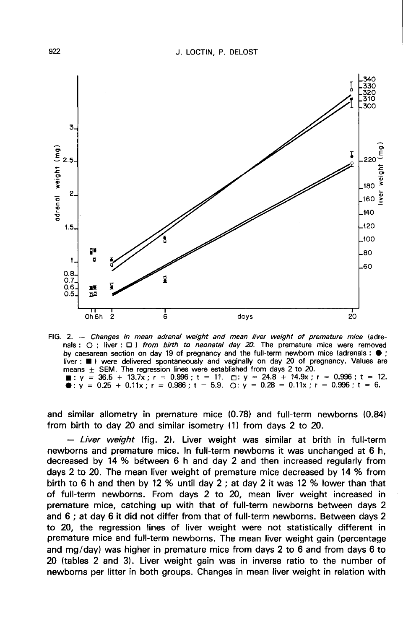

FIG. 2. - Changes in mean adrenal weight and mean liver weight of premature mice (adrenals :  $\bigcirc$  ; liver :  $\Box$  ) from birth to neonatal day 20. The premature mice were removed by caesarean section on day 19 of pregnancy and the full-term newborn mice (adrenals :  $\bullet$ ; liver: (a) were delivered spontaneously and vaginally on day 20 of pregnancy. Values are<br>means  $\pm$  SEM. The regression lines were established from days 2 to 20. 1.  $y = 36.5 + 13.7x$ ;  $r = 0.996$ ;  $t = 11$ .  $\Box$ ;  $y = 24.8 + 14.9x$ ;  $r = 0.996$ ;  $t = 12$ .<br>● :  $y = 0.25 + 0.11x$ ;  $r = 0.986$ ;  $t = 5.9$ .  $\Box$ :  $y = 0.28 = 0.11x$ ;  $r = 0.996$ ;  $t = 6$ .

and similar allometry in premature mice (0.78) and full-term newborns (0.84) from birth to day 20 and similar isometry (1) from days 2 to 20.

 $-$  Liver weight (fig. 2). Liver weight was similar at brith in full-term newborns and premature mice. In full-term newborns it was unchanged at 6 h, decreased by 14 % between 6 h and day 2 and then increased regularly from days 2 to 20. The mean liver weight of premature mice decreased by 14 % from birth to 6 h and then by 12 % until day 2 ; at day 2 it was 12 % lower than that of full-term newborns. From days 2 to 20, mean liver weight increased in premature mice, catching up with that of full-term newborns between days 2 and 6 ; at day 6 it did not differ from that of full-term newborns. Between days 2 to 20, the regression lines of liver weight were not statistically different in premature mice and full-term newborns. The mean liver weight gain (percentage and mg/day) was higher in premature mice from days 2 to 6 and from days 6 to 20 (tables 2 and 3). Liver weight gain was in inverse ratio to the number of newborns per litter in both groups. Changes in mean liver weight in relation with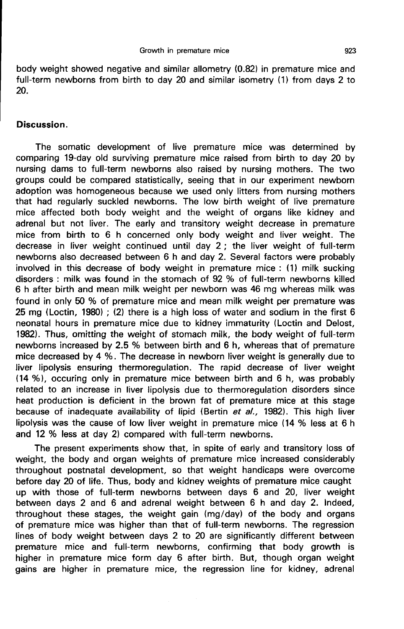body weight showed negative and similar allometry (0.82) in premature mice and full-term newborns from birth to day 20 and similar isometry (1) from days 2 to 20.

### Discussion.

The somatic development of live premature mice was determined by comparing 19-day old surviving premature mice raised from birth to day 20 by nursing dams to full-term newborns also raised by nursing mothers. The two groups could be compared statistically, seeing that in our experiment newborn adoption was homogeneous because we used only litters from nursing mothers that had regularly suckled newborns. The low birth weight of live premature mice affected both body weight and the weight of organs like kidney and adrenal but not liver. The early and transitory weight decrease in premature mice from birth to 6 h concerned only body weight and liver weight. The decrease in liver weight continued until day 2 ; the liver weight of full-term newborns also decreased between 6 h and day 2. Several factors were probably involved in this decrease of body weight in premature mice : (1) milk sucking disorders : milk was found in the stomach of 92 % of full-term newborns killed 6 h after birth and mean milk weight per newborn was 46 mg whereas milk was found in only 50 % of premature mice and mean milk weight per premature was 25 mg (Loctin, 1980) ; (2) there is a high loss of water and sodium in the first 6 neonatal hours in premature mice due to kidney immaturity (Loctin and Delost, 1982). Thus, omitting the weight of stomach milk, the body weight of full-term newborns increased by 2.5 % between birth and 6 h, whereas that of premature mice decreased by 4 %. The decrease in newborn liver weight is generally due to liver lipolysis ensuring thermoregulation. The rapid decrease of liver weight (14 %), occuring only in premature mice between birth and 6 h, was probably related to an increase in liver lipolysis due to thermoregulation disorders since heat production is deficient in the brown fat of premature mice at this stage because of inadequate availability of lipid (Bertin et al., 1982). This high liver lipolysis was the cause of low liver weight in premature mice (14 % less at 6 h and 12 % less at day 2) compared with full-term newborns.

The present experiments show that, in spite of early and transitory loss of weight, the body and organ weights of premature mice increased considerably throughout postnatal development, so that weight handicaps were overcome before day 20 of life. Thus, body and kidney weights of premature mice caught up with those of full-term newborns between days 6 and 20, liver weight between days 2 and 6 and adrenal weight between 6 h and day 2. Indeed, throughout these stages, the weight gain (mg/day) of the body and organs of premature mice was higher than that of full-term newborns. The regression lines of body weight between days 2 to 20 are significantly different between premature mice and full-term newborns, confirming that body growth is higher in premature mice form day 6 after birth. But, though organ weight gains are higher in premature mice, the regression line for kidney, adrenal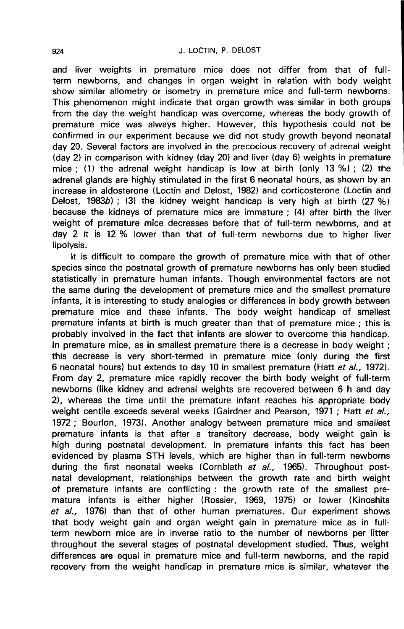and liver weights in premature mice does not differ from that of fullterm newborns, and changes in organ weight in relation with body weight show similar allometry or isometry in premature mice and full-term newborns. This phenomenon might indicate that organ growth was similar in both groups from the day the weight handicap was overcome, whereas the body growth of premature mice was always higher. However, this hypothesis could not be confirmed in our experiment because we did not study growth beyond neonatal day 20. Several factors are involved in the precocious recovery of adrenal weight (day 2) in comparison with kidney (day 20) and liver (day 6) weights in premature mice ; (1) the adrenal weight handicap is low at birth (only 13 %) ; (2) the adrenal glands are highly stimulated in the first 6 neonatal hours, as shown by an increase in aldosterone (Loctin and Delost, 1982) and corticosterone (Loctin and Delost, 1983b); (3) the kidney weight handicap is very high at birth  $(27 \%)$ because the kidneys of premature mice are immature ; (4) after birth the liver weight of premature mice decreases before that of full-term newborns, and at day 2 it is 12 % lower than that of full-term newborns due to higher liver lipolysis.

It is difficult to compare the growth of premature mice with that of other species since the postnatal growth of premature newborns has only been studied statistically in premature human infants. Though environmental factors are not the same during the development of premature mice and the smallest premature infants, it is interesting to study analogies or differences in body growth between premature mice and these infants. The body weight handicap of smallest premature infants at birth is much greater than that of premature mice ; this is probably involved in the fact that infants are slower to overcome this handicap. In premature mice, as in smallest premature there is a decrease in body weight ; this decrease is very short-termed in premature mice (only during the first 6 neonatal hours) but extends to day 10 in smallest premature (Hatt et al., 1972). From day 2, premature mice rapidly recover the birth body weight of full-term newborns (like kidney and adrenal weights are recovered between 6 h and day 2), whereas the time until the premature infant reaches his appropriate body weight centile exceeds several weeks (Gairdner and Pearson, 1971 ; Hatt et al., 1972 ; Bourlon, 1973). Another analogy between premature mice and smallest premature infants is that after a transitory decrease, body weight gain is high during postnatal development. In premature infants this fact has been evidenced by plasma STH levels, which are higher than in full-term newborns during the first neonatal weeks (Cornblath et al., 1965). Throughout postnatal development, relationships between the growth rate and birth weight of premature infants are conflicting : the growth rate of the smallest premature infants is either higher (Rossier, 1969, 1975) or lower (Kinoshita et al., 1976) than that of other human prematures. Our experiment shows that body weight gain and organ weight gain in premature mice as in fullterm newborn mice are in inverse ratio to the number of newborns per litter throughout the several stages of postnatal development studied. Thus, weight differences are equal in premature mice and full-term newborns, and the rapid recovery from the weight handicap in premature mice is similar, whatever the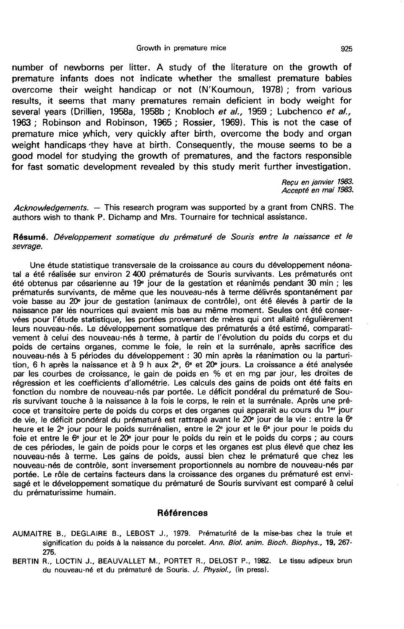number of newborns per litter. A study of the literature on the growth of premature infants does not indicate whether the smallest premature babies overcome their weight handicap or not (N'Koumoun, 1978) ; from various results, it seems that many prematures remain deficient in body weight for several years (Drillien, 1958a, 1958b; Knobloch et al., 1959; Lubchenco et al., 1963 ; Robinson and Robinson, 1965 ; Rossier, 1969). This is not the case of premature mice yvhich, very quickly after birth, overcome the body and organ weight handicaps they have at birth. Consequently, the mouse seems to be a good model for studying the growth of prematures, and the factors responsible for fast somatic development revealed by this study merit further investigation.

> Recu en janvier 1983. Accept6 en mai 1983.

Acknowledgements.  $-$  This research program was supported by a grant from CNRS. The authors wish to thank P. Dichamp and Mrs. Tournaire for technical assistance.

### Résumé. Développement somatique du prématuré de Souris entre la naissance et le sevrage.

Une étude statistique transversale de la croissance au cours du développement néonatal a été réalisée sur environ 2 400 prématurés de Souris survivants. Les prématurés ont été obtenus par césarienne au 19<sup>e</sup> jour de la gestation et réanimés pendant 30 min ; les prématurés survivants, de même que les nouveau-nés à terme délivrés spontanément par voie basse au 20e jour de gestation (animaux de contrôle), ont été élevés à partir de la naissance par lès nourrices qui avaient mis bas au même moment. Seules ont été conservées pour l'étude statistique, les portées provenant de mères qui ont allaité régulièrement leurs nouveau-nés. Le développement somatique des prématurés a été estimé, comparati vement à celui des nouveau-nés à terme, à partir de l'évolution du poids du corps et du poids de certains organes, comme le foie, le rein et la surrénale, après sacrifice des nouveau-nés à 5 périodes du développement : 30 min après la réanimation ou la parturi-<br>tion, 6 h après la naissance et à 9 h aux 2°, 6° et 20° jours. La croissance a été analysée par les courbes de croissance, le gain de poids en % et en mg par jour, les droites de régression et les coefficients d'allométrie. Les calculs des gains de poids ont été faits en fonction du nombre de nouveau-nés par portée. Le déficit pondéral du prématuré de Souris survivant touche à la naissance à la fois le corps, le rein et la surrénale. Après une pré coce et transitoire perte de poids du corps et des organes qui apparaît au cours du 1<sup>er</sup> jour de vie, le déficit pondéral du prématuré est rattrapé avant le 20<sup>e</sup> jour de la vie : entre la 6<sup>e</sup> heure et le 2<sup>e</sup> jour pour le poids surrénalien, entre le 2<sup>e</sup> jour et le 6<sup>e</sup> jour pour le poids du foie et entre le  $6<sup>e</sup>$  jour et le  $20<sup>e</sup>$  jour pour le poids du rein et le poids du corps ; au cours de ces périodes, le gain de poids pour le corps et les organes est plus élevé que chez les nouveau-nés à terme. Les gains de poids, aussi bien chez le prématuré que chez les nouveau-nés de contrôle, sont inversement proportionnels au nombre de nouveau-nés par portée. Le rôle de certains facteurs dans la croissance des organes du prématuré est envisagé et le développement somatique du prématuré de Souris survivant est comparé à celui du prématurissime humain.

### Références

- AUMAITRE B., D£GLAIRE B., LEBOST J., 1979. Prématurité de la mise-bas chez la truie et signification du poids à la naissance du porcelet. Ann. Biol. anim. Bioch. Biophys., 19, 267-275.
- BERTIN R., LOCTIN J., BEAUVALLET M., PORTET R., DELOST P., 1982. Le tissu adipeux brun du nouveau-né et du prématuré de Souris. J. Physiol., (in press).